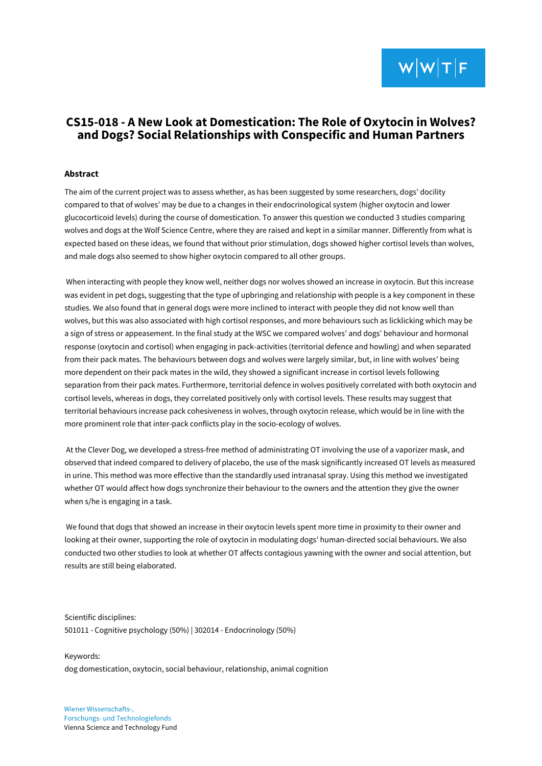## **CS15-018 - A New Look at Domestication: The Role of Oxytocin in Wolves? and Dogs? Social Relationships with Conspecific and Human Partners**

## **Abstract**

The aim of the current project was to assess whether, as has been suggested by some researchers, dogs' docility compared to that of wolves' may be due to a changes in their endocrinological system (higher oxytocin and lower glucocorticoid levels) during the course of domestication. To answer this question we conducted 3 studies comparing wolves and dogs at the Wolf Science Centre, where they are raised and kept in a similar manner. Differently from what is expected based on these ideas, we found that without prior stimulation, dogs showed higher cortisol levels than wolves, and male dogs also seemed to show higher oxytocin compared to all other groups.

When interacting with people they know well, neither dogs nor wolves showed an increase in oxytocin. But this increase was evident in pet dogs, suggesting that the type of upbringing and relationship with people is a key component in these studies. We also found that in general dogs were more inclined to interact with people they did not know well than wolves, but this was also associated with high cortisol responses, and more behaviours such as licklicking which may be a sign of stress or appeasement. In the final study at the WSC we compared wolves' and dogs' behaviour and hormonal response (oxytocin and cortisol) when engaging in pack-activities (territorial defence and howling) and when separated from their pack mates. The behaviours between dogs and wolves were largely similar, but, in line with wolves' being more dependent on their pack mates in the wild, they showed a significant increase in cortisol levels following separation from their pack mates. Furthermore, territorial defence in wolves positively correlated with both oxytocin and cortisol levels, whereas in dogs, they correlated positively only with cortisol levels. These results may suggest that territorial behaviours increase pack cohesiveness in wolves, through oxytocin release, which would be in line with the more prominent role that inter-pack conflicts play in the socio-ecology of wolves.

At the Clever Dog, we developed a stress-free method of administrating OT involving the use of a vaporizer mask, and observed that indeed compared to delivery of placebo, the use of the mask significantly increased OT levels as measured in urine. This method was more effective than the standardly used intranasal spray. Using this method we investigated whether OT would affect how dogs synchronize their behaviour to the owners and the attention they give the owner when s/he is engaging in a task.

We found that dogs that showed an increase in their oxytocin levels spent more time in proximity to their owner and looking at their owner, supporting the role of oxytocin in modulating dogs' human-directed social behaviours. We also conducted two other studies to look at whether OT affects contagious yawning with the owner and social attention, but results are still being elaborated.

Scientific disciplines: 501011 - Cognitive psychology (50%) | 302014 - Endocrinology (50%)

Keywords: dog domestication, oxytocin, social behaviour, relationship, animal cognition

Wiener Wissenschafts-, Forschungs- und Technologiefonds Vienna Science and Technology Fund